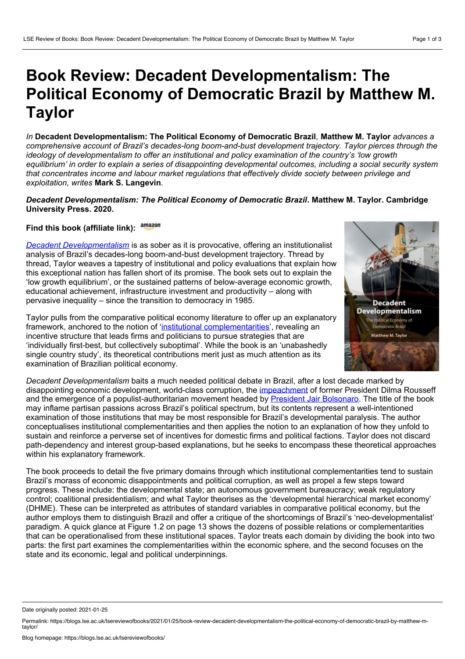## **Book Review: Decadent Developmentalism: The Political Economy of Democratic Brazil by Matthew M. Taylor**

*In* **Decadent Developmentalism: The Political Economy of Democratic Brazil***,* **Matthew M. Taylor** *advances a comprehensive account of Brazil's decades-long boom-and-bust development trajectory. Taylor pierces through the ideology of developmentalism to offer an institutional and policy examination of the country's 'low growth* equilibrium' in order to explain a series of disappointing developmental outcomes, including a social security system *that concentrates income and labour market regulations that effectively divide society between privilege and exploitation, writes* **Mark S. Langevin***.*

## *Decadent Developmentalism: The Political Economy of Democratic Brazil***. Matthew M. Taylor. Cambridge University Press. 2020.**

## **Find this book (affiliate link):**

*Decadent [Developmentalism](https://www.cambridge.org/core/books/decadent-developmentalism/E7C04024967E355BA4602B96A185E50A)* is as sober as it is provocative, offering an institutionalist analysis of Brazil's decades-long boom-and-bust development trajectory. Thread by thread, Taylor weaves a tapestry of institutional and policy evaluations that explain how this exceptional nation has fallen short of its promise. The book sets out to explain the 'low growth equilibrium', or the sustained patterns of below-average economic growth, educational achievement, infrastructure investment and productivity – along with pervasive inequality – since the transition to democracy in 1985.

Taylor pulls from the comparative political economy literature to offer up an explanatory framework, anchored to the notion of 'institutional [complementarities'](https://www.cambridge.org/core/journals/journal-of-institutional-economics/article/institutional-complementarities-in-the-dynamic-comparative-analysis-of-capitalism/8ED45248B6309CA1FB8504CA48E05F9D), revealing an incentive structure that leads firms and politicians to pursue strategies that are 'individually first-best, but collectively suboptimal'. While the book is an 'unabashedly single country study', its theoretical contributions merit just as much attention as its examination of Brazilian political economy.



*Decadent Developmentalism* baits a much needed political debate in Brazil, after a lost decade marked by disappointing economic development, world-class corruption, the [impeachment](https://www.cetri.be/Brazil-s-crisis-is-compounding-and?lang=fr) of former President Dilma Rousseff and the emergence of a populist-authoritarian movement headed by President Jair [Bolsonaro](https://blogs.lse.ac.uk/latamcaribbean/2017/11/29/brazils-crisis-of-political-legitimacy-has-opened-the-door-to-rant-and-rave-populist-jair-bolsonaro/). The title of the book may inflame partisan passions across Brazil's political spectrum, but its contents represent a well-intentioned examination of those institutions that may be most responsible for Brazil's developmental paralysis. The author conceptualises institutional complementarities and then applies the notion to an explanation of how they unfold to sustain and reinforce a perverse set of incentives for domestic firms and political factions. Taylor does not discard path-dependency and interest group-based explanations, but he seeks to encompass these theoretical approaches within his explanatory framework.

The book proceeds to detail the five primary domains through which institutional complementarities tend to sustain Brazil's morass of economic disappointments and political corruption, as well as propel a few steps toward progress. These include: the developmental state; an autonomous government bureaucracy; weak regulatory control; coalitional presidentialism; and what Taylor theorises as the 'developmental hierarchical market economy' (DHME). These can be interpreted as attributes of standard variables in comparative political economy, but the author employs them to distinguish Brazil and offer a critique of the shortcomings of Brazil's 'neo-developmentalist' paradigm. A quick glance at Figure 1.2 on page 13 shows the dozens of possible relations or complementarities that can be operationalised from these institutional spaces. Taylor treats each domain by dividing the book into two parts: the first part examines the complementarities within the economic sphere, and the second focuses on the state and its economic, legal and political underpinnings.

Date originally posted: 2021-01-25

Permalink: https://blogs.lse.ac.uk/lsereviewofbooks/2021/01/25/book-review-decadent-developmentalism-the-political-economy-of-democratic-brazil-by-matthew-mtaylor/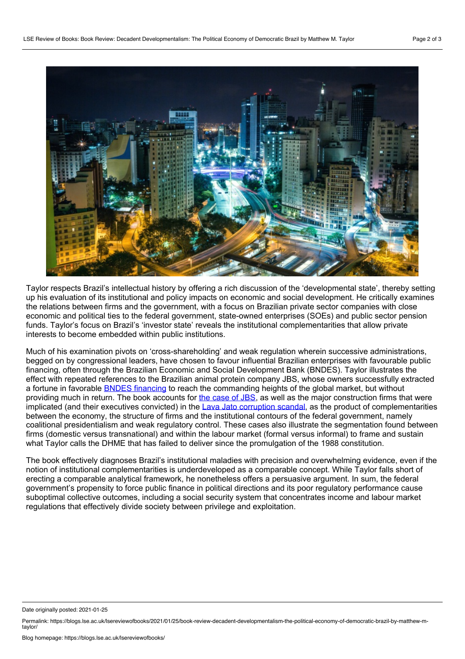

Taylor respects Brazil's intellectual history by offering a rich discussion of the 'developmental state', thereby setting up his evaluation of its institutional and policy impacts on economic and social development. He critically examines the relations between firms and the government, with a focus on Brazilian private sector companies with close economic and political ties to the federal government, state-owned enterprises (SOEs) and public sector pension funds. Taylor's focus on Brazil's 'investor state' reveals the institutional complementarities that allow private interests to become embedded within public institutions.

Much of his examination pivots on 'cross-shareholding' and weak regulation wherein successive administrations, begged on by congressional leaders, have chosen to favour influential Brazilian enterprises with favourable public financing, often through the Brazilian Economic and Social Development Bank (BNDES). Taylor illustrates the effect with repeated references to the Brazilian animal protein company JBS, whose owners successfully extracted a fortune in favorable **BNDES** [financing](https://aberto.bndes.gov.br/aberto/caso/jbs/) to reach the commanding heights of the global market, but without providing much in return. The book accounts for the [case](https://www.theguardian.com/environment/2020/jul/28/investors-drop-brazil-meat-giant-jbs) of JBS, as well as the major construction firms that were implicated (and their executives convicted) in the Lava Jato [corruption](https://www.cfr.org/backgrounder/brazils-corruption-fallout) scandal, as the product of complementarities between the economy, the structure of firms and the institutional contours of the federal government, namely coalitional presidentialism and weak regulatory control. These cases also illustrate the segmentation found between firms (domestic versus transnational) and within the labour market (formal versus informal) to frame and sustain what Taylor calls the DHME that has failed to deliver since the promulgation of the 1988 constitution.

The book effectively diagnoses Brazil's institutional maladies with precision and overwhelming evidence, even if the notion of institutional complementarities is underdeveloped as a comparable concept. While Taylor falls short of erecting a comparable analytical framework, he nonetheless offers a persuasive argument. In sum, the federal government's propensity to force public finance in political directions and its poor regulatory performance cause suboptimal collective outcomes, including a social security system that concentrates income and labour market regulations that effectively divide society between privilege and exploitation.

Date originally posted: 2021-01-25

Permalink: https://blogs.lse.ac.uk/lsereviewofbooks/2021/01/25/book-review-decadent-developmentalism-the-political-economy-of-democratic-brazil-by-matthew-mtaylor/